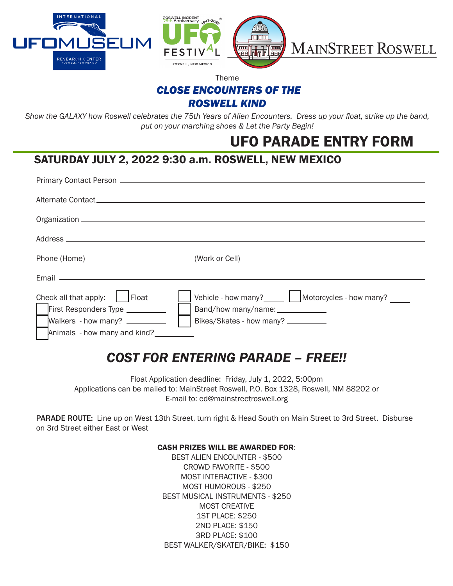

Theme

### *CLOSE ENCOUNTERS OF THE*

*ROSWELL KIND*

*Show the GALAXY how Roswell celebrates the 75th Years of Alien Encounters. Dress up your float, strike up the band, put on your marching shoes & Let the Party Begin!*

## UFO PARADE ENTRY FORM

### SATURDAY JULY 2, 2022 9:30 a.m. ROSWELL, NEW MEXICO

| Check all that apply: $\vert$   Float<br>First Responders Type _________<br>Walkers - how many?<br>Animals - how many and kind? | Vehicle - how many?<br><u> Latercycles</u> - how many?<br>Band/how many/name: _____________<br>Bikes/Skates - how many? __________ |
|---------------------------------------------------------------------------------------------------------------------------------|------------------------------------------------------------------------------------------------------------------------------------|

# *COST FOR ENTERING PARADE – FREE!!*

Float Application deadline: Friday, July 1, 2022, 5:00pm Applications can be mailed to: MainStreet Roswell, P.O. Box 1328, Roswell, NM 88202 or E-mail to: ed@mainstreetroswell.org

PARADE ROUTE: Line up on West 13th Street, turn right & Head South on Main Street to 3rd Street. Disburse on 3rd Street either East or West

#### CASH PRIZES WILL BE AWARDED FOR:

BEST ALIEN ENCOUNTER - \$500 CROWD FAVORITE - \$500 MOST INTERACTIVE - \$300 MOST HUMOROUS - \$250 BEST MUSICAL INSTRUMENTS - \$250 MOST CREATIVE 1ST PLACE: \$250 2ND PLACE: \$150 3RD PLACE: \$100 BEST WALKER/SKATER/BIKE: \$150